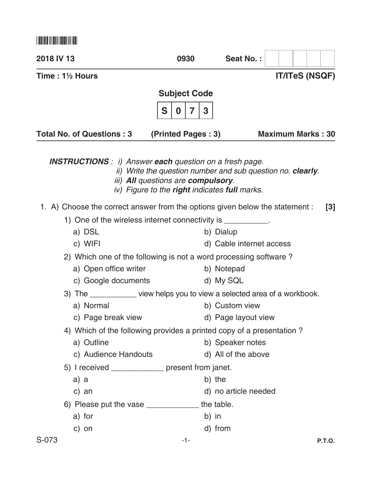\*S073\*

| 2018 IV 13                                                       |                                                                              | 0930                                                                                                                                                             | Seat No.:                |                          |
|------------------------------------------------------------------|------------------------------------------------------------------------------|------------------------------------------------------------------------------------------------------------------------------------------------------------------|--------------------------|--------------------------|
| Time: 1½ Hours                                                   |                                                                              |                                                                                                                                                                  |                          | <b>IT/ITeS (NSQF)</b>    |
|                                                                  |                                                                              | <b>Subject Code</b>                                                                                                                                              |                          |                          |
|                                                                  |                                                                              | S<br>3<br>7<br>0                                                                                                                                                 |                          |                          |
|                                                                  | <b>Total No. of Questions: 3</b>                                             | (Printed Pages: 3)                                                                                                                                               |                          | <b>Maximum Marks: 30</b> |
|                                                                  | <b>INSTRUCTIONS</b> : i) Answer <b>each</b> question on a fresh page.        | ii) Write the question number and sub question no. clearly.<br>iii) All questions are compulsory.<br>iv) Figure to the <b>right</b> indicates <b>full</b> marks. |                          |                          |
|                                                                  | 1. A) Choose the correct answer from the options given below the statement : |                                                                                                                                                                  |                          | $\lceil 3 \rceil$        |
|                                                                  | 1) One of the wireless internet connectivity is ___________.                 |                                                                                                                                                                  |                          |                          |
|                                                                  | a) DSL                                                                       |                                                                                                                                                                  | b) Dialup                |                          |
|                                                                  | c) WIFI                                                                      |                                                                                                                                                                  | d) Cable internet access |                          |
| 2) Which one of the following is not a word processing software? |                                                                              |                                                                                                                                                                  |                          |                          |
|                                                                  | a) Open office writer                                                        |                                                                                                                                                                  | b) Notepad               |                          |
|                                                                  | c) Google documents                                                          |                                                                                                                                                                  | d) My SQL                |                          |
|                                                                  | 3) The _____________ view helps you to view a selected area of a workbook.   |                                                                                                                                                                  |                          |                          |
|                                                                  | a) Normal                                                                    |                                                                                                                                                                  | b) Custom view           |                          |
|                                                                  | c) Page break view                                                           |                                                                                                                                                                  | d) Page layout view      |                          |
|                                                                  | 4) Which of the following provides a printed copy of a presentation?         |                                                                                                                                                                  |                          |                          |
|                                                                  | a) Outline                                                                   |                                                                                                                                                                  | b) Speaker notes         |                          |
|                                                                  | c) Audience Handouts                                                         |                                                                                                                                                                  | d) All of the above      |                          |
|                                                                  | 5) I received ______________ present from janet.                             |                                                                                                                                                                  |                          |                          |
|                                                                  | a) a                                                                         |                                                                                                                                                                  | b) the                   |                          |
|                                                                  | c) an                                                                        |                                                                                                                                                                  | d) no article needed     |                          |
|                                                                  | 6) Please put the vase ________________ the table.                           |                                                                                                                                                                  |                          |                          |
|                                                                  | a) for                                                                       | b) in                                                                                                                                                            |                          |                          |
|                                                                  | c) on                                                                        |                                                                                                                                                                  | d) from                  |                          |
| S-073                                                            |                                                                              | $-1-$                                                                                                                                                            |                          | <b>P.T.O.</b>            |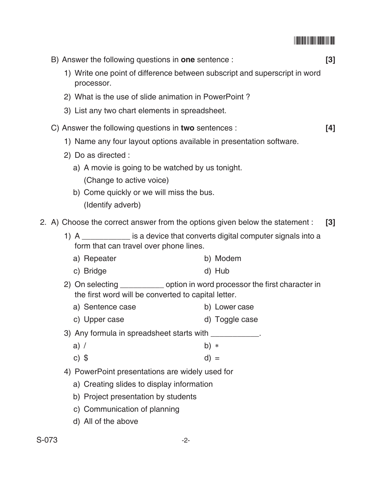\*S073\*

|       | B) Answer the following questions in <b>one</b> sentence :                                                                           |                | $[3]$ |  |  |
|-------|--------------------------------------------------------------------------------------------------------------------------------------|----------------|-------|--|--|
|       | 1) Write one point of difference between subscript and superscript in word<br>processor.                                             |                |       |  |  |
|       | 2) What is the use of slide animation in PowerPoint?                                                                                 |                |       |  |  |
|       | 3) List any two chart elements in spreadsheet.                                                                                       |                |       |  |  |
|       | C) Answer the following questions in two sentences :                                                                                 |                |       |  |  |
|       | 1) Name any four layout options available in presentation software.                                                                  |                |       |  |  |
|       | 2) Do as directed :                                                                                                                  |                |       |  |  |
|       | a) A movie is going to be watched by us tonight.                                                                                     |                |       |  |  |
|       | (Change to active voice)<br>b) Come quickly or we will miss the bus.                                                                 |                |       |  |  |
|       | (Identify adverb)                                                                                                                    |                |       |  |  |
|       | 2. A) Choose the correct answer from the options given below the statement :                                                         |                | $[3]$ |  |  |
|       | 1) A _____________ is a device that converts digital computer signals into a<br>form that can travel over phone lines.               |                |       |  |  |
|       | a) Repeater                                                                                                                          | b) Modem       |       |  |  |
|       | c) Bridge                                                                                                                            | d) Hub         |       |  |  |
|       | 2) On selecting _____________ option in word processor the first character in<br>the first word will be converted to capital letter. |                |       |  |  |
|       | a) Sentence case                                                                                                                     | b) Lower case  |       |  |  |
|       | c) Upper case                                                                                                                        | d) Toggle case |       |  |  |
|       | 3) Any formula in spreadsheet starts with ____________.                                                                              |                |       |  |  |
|       | a) $/$                                                                                                                               | b) $*$         |       |  |  |
|       | c) $$$                                                                                                                               | $d) =$         |       |  |  |
|       | 4) PowerPoint presentations are widely used for                                                                                      |                |       |  |  |
|       | a) Creating slides to display information                                                                                            |                |       |  |  |
|       | b) Project presentation by students                                                                                                  |                |       |  |  |
|       | c) Communication of planning                                                                                                         |                |       |  |  |
|       | d) All of the above                                                                                                                  |                |       |  |  |
| S-073 | $-2-$                                                                                                                                |                |       |  |  |